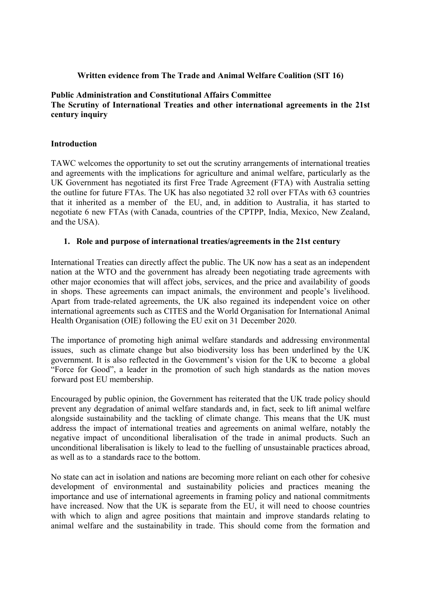## **Written evidence from The Trade and Animal Welfare Coalition (SIT 16)**

## **Public Administration and Constitutional Affairs Committee The Scrutiny of International Treaties and other international agreements in the 21st century inquiry**

### **Introduction**

TAWC welcomes the opportunity to set out the scrutiny arrangements of international treaties and agreements with the implications for agriculture and animal welfare, particularly as the UK Government has negotiated its first Free Trade Agreement (FTA) with Australia setting the outline for future FTAs. The UK has also negotiated 32 roll over FTAs with 63 countries that it inherited as a member of the EU, and, in addition to Australia, it has started to negotiate 6 new FTAs (with Canada, countries of the CPTPP, India, Mexico, New Zealand, and the USA).

#### **1. Role and purpose of international treaties/agreements in the 21st century**

International Treaties can directly affect the public. The UK now has a seat as an independent nation at the WTO and the government has already been negotiating trade agreements with other major economies that will affect jobs, services, and the price and availability of goods in shops. These agreements can impact animals, the environment and people's livelihood. Apart from trade-related agreements, the UK also regained its independent voice on other international agreements such as CITES and the World Organisation for International Animal Health Organisation (OIE) following the EU exit on 31 December 2020.

The importance of promoting high animal welfare standards and addressing environmental issues, such as climate change but also biodiversity loss has been underlined by the UK government. It is also reflected in the Government's vision for the UK to become a global "Force for Good", a leader in the promotion of such high standards as the nation moves forward post EU membership.

Encouraged by public opinion, the Government has reiterated that the UK trade policy should prevent any degradation of animal welfare standards and, in fact, seek to lift animal welfare alongside sustainability and the tackling of climate change. This means that the UK must address the impact of international treaties and agreements on animal welfare, notably the negative impact of unconditional liberalisation of the trade in animal products. Such an unconditional liberalisation is likely to lead to the fuelling of unsustainable practices abroad, as well as to a standards race to the bottom.

No state can act in isolation and nations are becoming more reliant on each other for cohesive development of environmental and sustainability policies and practices meaning the importance and use of international agreements in framing policy and national commitments have increased. Now that the UK is separate from the EU, it will need to choose countries with which to align and agree positions that maintain and improve standards relating to animal welfare and the sustainability in trade. This should come from the formation and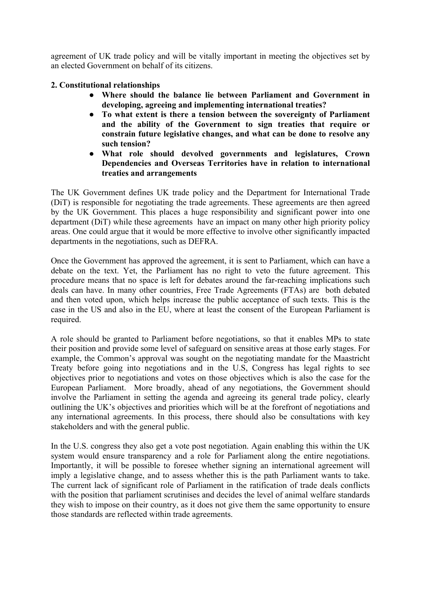agreement of UK trade policy and will be vitally important in meeting the objectives set by an elected Government on behalf of its citizens.

# **2. Constitutional relationships**

- **Where should the balance lie between Parliament and Government in developing, agreeing and implementing international treaties?**
- **To what extent is there a tension between the sovereignty of Parliament and the ability of the Government to sign treaties that require or constrain future legislative changes, and what can be done to resolve any such tension?**
- **What role should devolved governments and legislatures, Crown Dependencies and Overseas Territories have in relation to international treaties and arrangements**

The UK Government defines UK trade policy and the Department for International Trade (DiT) is responsible for negotiating the trade agreements. These agreements are then agreed by the UK Government. This places a huge responsibility and significant power into one department (DiT) while these agreements have an impact on many other high priority policy areas. One could argue that it would be more effective to involve other significantly impacted departments in the negotiations, such as DEFRA.

Once the Government has approved the agreement, it is sent to Parliament, which can have a debate on the text. Yet, the Parliament has no right to veto the future agreement. This procedure means that no space is left for debates around the far-reaching implications such deals can have. In many other countries, Free Trade Agreements (FTAs) are both debated and then voted upon, which helps increase the public acceptance of such texts. This is the case in the US and also in the EU, where at least the consent of the European Parliament is required.

A role should be granted to Parliament before negotiations, so that it enables MPs to state their position and provide some level of safeguard on sensitive areas at those early stages. For example, the Common's approval was sought on the negotiating mandate for the Maastricht Treaty before going into negotiations and in the U.S, Congress has legal rights to see objectives prior to negotiations and votes on those objectives which is also the case for the European Parliament. More broadly, ahead of any negotiations, the Government should involve the Parliament in setting the agenda and agreeing its general trade policy, clearly outlining the UK's objectives and priorities which will be at the forefront of negotiations and any international agreements. In this process, there should also be consultations with key stakeholders and with the general public.

In the U.S. congress they also get a vote post negotiation. Again enabling this within the UK system would ensure transparency and a role for Parliament along the entire negotiations. Importantly, it will be possible to foresee whether signing an international agreement will imply a legislative change, and to assess whether this is the path Parliament wants to take. The current lack of significant role of Parliament in the ratification of trade deals conflicts with the position that parliament scrutinises and decides the level of animal welfare standards they wish to impose on their country, as it does not give them the same opportunity to ensure those standards are reflected within trade agreements.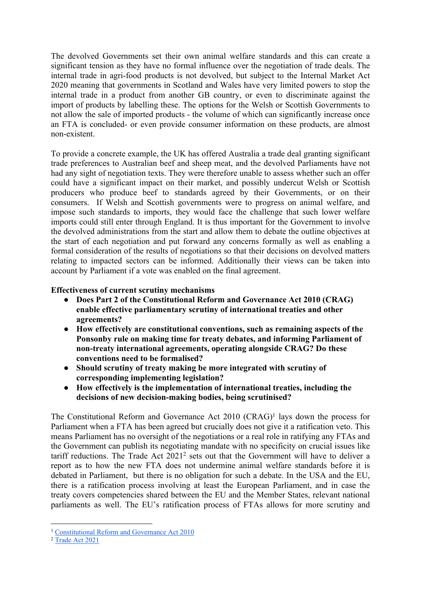The devolved Governments set their own animal welfare standards and this can create a significant tension as they have no formal influence over the negotiation of trade deals. The internal trade in agri-food products is not devolved, but subject to the Internal Market Act 2020 meaning that governments in Scotland and Wales have very limited powers to stop the internal trade in a product from another GB country, or even to discriminate against the import of products by labelling these. The options for the Welsh or Scottish Governments to not allow the sale of imported products - the volume of which can significantly increase once an FTA is concluded- or even provide consumer information on these products, are almost non-existent.

To provide a concrete example, the UK has offered Australia a trade deal granting significant trade preferences to Australian beef and sheep meat, and the devolved Parliaments have not had any sight of negotiation texts. They were therefore unable to assess whether such an offer could have a significant impact on their market, and possibly undercut Welsh or Scottish producers who produce beef to standards agreed by their Governments, or on their consumers. If Welsh and Scottish governments were to progress on animal welfare, and impose such standards to imports, they would face the challenge that such lower welfare imports could still enter through England. It is thus important for the Government to involve the devolved administrations from the start and allow them to debate the outline objectives at the start of each negotiation and put forward any concerns formally as well as enabling a formal consideration of the results of negotiations so that their decisions on devolved matters relating to impacted sectors can be informed. Additionally their views can be taken into account by Parliament if a vote was enabled on the final agreement.

## **Effectiveness of current scrutiny mechanisms**

- **Does Part 2 of the Constitutional Reform and Governance Act 2010 (CRAG) enable effective parliamentary scrutiny of international treaties and other agreements?**
- **How effectively are constitutional conventions, such as remaining aspects of the Ponsonby rule on making time for treaty debates, and informing Parliament of non-treaty international agreements, operating alongside CRAG? Do these conventions need to be formalised?**
- **Should scrutiny of treaty making be more integrated with scrutiny of corresponding implementing legislation?**
- **How effectively is the implementation of international treaties, including the decisions of new decision-making bodies, being scrutinised?**

The Constitutional Reform and Governance Act 2010 (CRAG)<sup>1</sup> lays down the process for Parliament when a FTA has been agreed but crucially does not give it a ratification veto. This means Parliament has no oversight of the negotiations or a real role in ratifying any FTAs and the Government can publish its negotiating mandate with no specificity on crucial issues like tariff reductions. The Trade Act 2021<sup>2</sup> sets out that the Government will have to deliver a report as to how the new FTA does not undermine animal welfare standards before it is debated in Parliament, but there is no obligation for such a debate. In the USA and the EU, there is a ratification process involving at least the European Parliament, and in case the treaty covers competencies shared between the EU and the Member States, relevant national parliaments as well. The EU's ratification process of FTAs allows for more scrutiny and

<sup>1</sup> [Constitutional](https://www.legislation.gov.uk/ukpga/2010/25/contents) [Reform](https://www.legislation.gov.uk/ukpga/2010/25/contents) [and](https://www.legislation.gov.uk/ukpga/2010/25/contents) [Governance](https://www.legislation.gov.uk/ukpga/2010/25/contents) [Act](https://www.legislation.gov.uk/ukpga/2010/25/contents) [2010](https://www.legislation.gov.uk/ukpga/2010/25/contents)

<sup>&</sup>lt;sup>2</sup> [Trade](https://www.legislation.gov.uk/ukpga/2021/10/contents/enacted) [Act](https://www.legislation.gov.uk/ukpga/2021/10/contents/enacted) [2021](https://www.legislation.gov.uk/ukpga/2021/10/contents/enacted)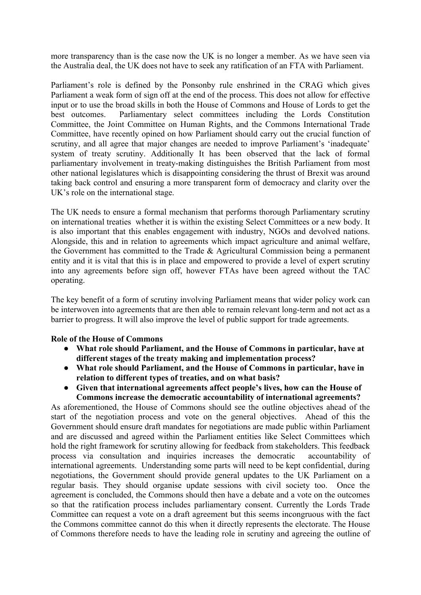more transparency than is the case now the UK is no longer a member. As we have seen via the Australia deal, the UK does not have to seek any ratification of an FTA with Parliament.

Parliament's role is defined by the Ponsonby rule enshrined in the CRAG which gives Parliament a weak form of sign off at the end of the process. This does not allow for effective input or to use the broad skills in both the House of Commons and House of Lords to get the best outcomes. Parliamentary select committees including the Lords Constitution Committee, the Joint Committee on Human Rights, and the Commons International Trade Committee, have recently opined on how Parliament should carry out the crucial function of scrutiny, and all agree that major changes are needed to improve Parliament's 'inadequate' system of treaty scrutiny. Additionally It has been observed that the lack of formal parliamentary involvement in treaty-making distinguishes the British Parliament from most other national legislatures which is disappointing considering the thrust of Brexit was around taking back control and ensuring a more transparent form of democracy and clarity over the UK's role on the international stage.

The UK needs to ensure a formal mechanism that performs thorough Parliamentary scrutiny on international treaties whether it is within the existing Select Committees or a new body. It is also important that this enables engagement with industry, NGOs and devolved nations. Alongside, this and in relation to agreements which impact agriculture and animal welfare, the Government has committed to the Trade & Agricultural Commission being a permanent entity and it is vital that this is in place and empowered to provide a level of expert scrutiny into any agreements before sign off, however FTAs have been agreed without the TAC operating.

The key benefit of a form of scrutiny involving Parliament means that wider policy work can be interwoven into agreements that are then able to remain relevant long-term and not act as a barrier to progress. It will also improve the level of public support for trade agreements.

#### **Role of the House of Commons**

- **What role should Parliament, and the House of Commons in particular, have at different stages of the treaty making and implementation process?**
- **What role should Parliament, and the House of Commons in particular, have in relation to different types of treaties, and on what basis?**
- **Given that international agreements affect people's lives, how can the House of Commons increase the democratic accountability of international agreements?**

As aforementioned, the House of Commons should see the outline objectives ahead of the start of the negotiation process and vote on the general objectives. Ahead of this the Government should ensure draft mandates for negotiations are made public within Parliament and are discussed and agreed within the Parliament entities like Select Committees which hold the right framework for scrutiny allowing for feedback from stakeholders. This feedback process via consultation and inquiries increases the democratic accountability of international agreements. Understanding some parts will need to be kept confidential, during negotiations, the Government should provide general updates to the UK Parliament on a regular basis. They should organise update sessions with civil society too. Once the agreement is concluded, the Commons should then have a debate and a vote on the outcomes so that the ratification process includes parliamentary consent. Currently the Lords Trade Committee can request a vote on a draft agreement but this seems incongruous with the fact the Commons committee cannot do this when it directly represents the electorate. The House of Commons therefore needs to have the leading role in scrutiny and agreeing the outline of